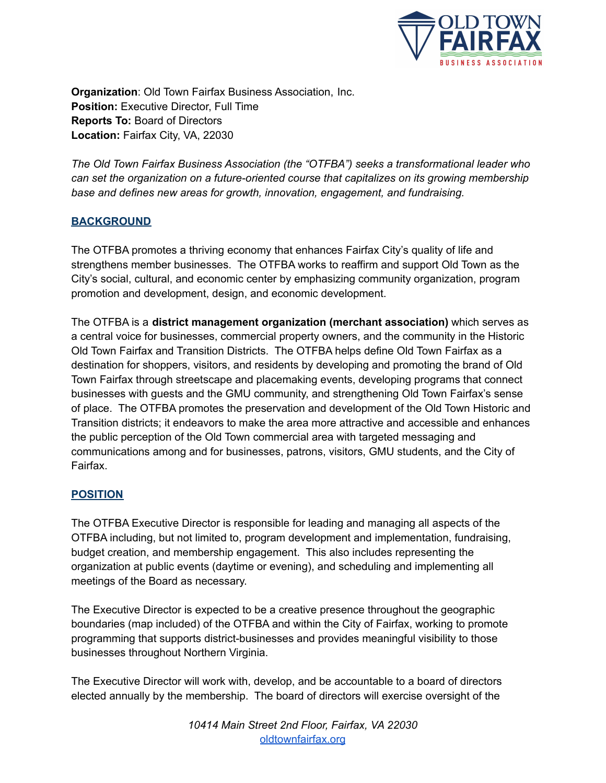

**Organization**: Old Town Fairfax Business Association, Inc. **Position:** Executive Director, Full Time **Reports To:** Board of Directors **Location:** Fairfax City, VA, 22030

*The Old Town Fairfax Business Association (the "OTFBA") seeks a transformational leader who can set the organization on a future-oriented course that capitalizes on its growing membership base and defines new areas for growth, innovation, engagement, and fundraising.*

## **BACKGROUND**

The OTFBA promotes a thriving economy that enhances Fairfax City's quality of life and strengthens member businesses. The OTFBA works to reaffirm and support Old Town as the City's social, cultural, and economic center by emphasizing community organization, program promotion and development, design, and economic development.

The OTFBA is a **district management organization (merchant association)** which serves as a central voice for businesses, commercial property owners, and the community in the Historic Old Town Fairfax and Transition Districts. The OTFBA helps define Old Town Fairfax as a destination for shoppers, visitors, and residents by developing and promoting the brand of Old Town Fairfax through streetscape and placemaking events, developing programs that connect businesses with guests and the GMU community, and strengthening Old Town Fairfax's sense of place. The OTFBA promotes the preservation and development of the Old Town Historic and Transition districts; it endeavors to make the area more attractive and accessible and enhances the public perception of the Old Town commercial area with targeted messaging and communications among and for businesses, patrons, visitors, GMU students, and the City of Fairfax.

## **POSITION**

The OTFBA Executive Director is responsible for leading and managing all aspects of the OTFBA including, but not limited to, program development and implementation, fundraising, budget creation, and membership engagement. This also includes representing the organization at public events (daytime or evening), and scheduling and implementing all meetings of the Board as necessary.

The Executive Director is expected to be a creative presence throughout the geographic boundaries (map included) of the OTFBA and within the City of Fairfax, working to promote programming that supports district-businesses and provides meaningful visibility to those businesses throughout Northern Virginia.

The Executive Director will work with, develop, and be accountable to a board of directors elected annually by the membership. The board of directors will exercise oversight of the

> *10414 Main Street 2nd Floor, Fairfax, VA 22030* [oldtownfairfax.org](https://oldtownfairfax.org/)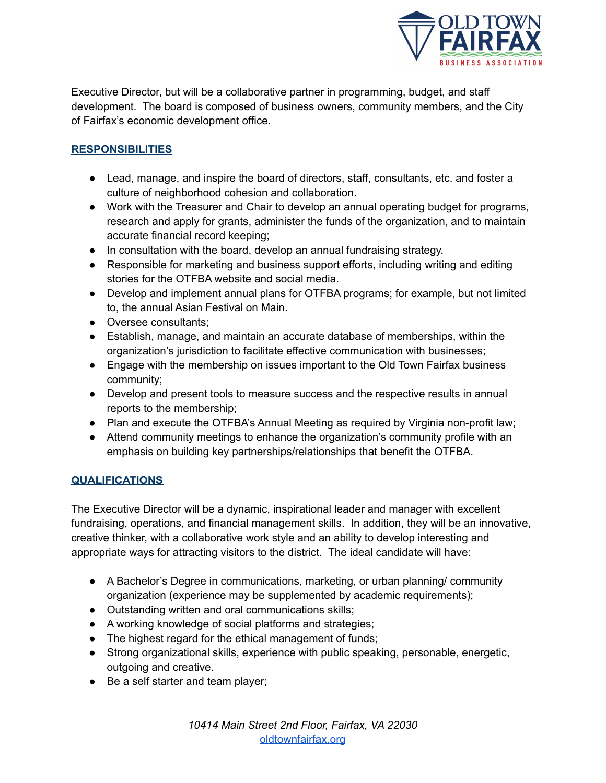

Executive Director, but will be a collaborative partner in programming, budget, and staff development. The board is composed of business owners, community members, and the City of Fairfax's economic development office.

# **RESPONSIBILITIES**

- Lead, manage, and inspire the board of directors, staff, consultants, etc. and foster a culture of neighborhood cohesion and collaboration.
- Work with the Treasurer and Chair to develop an annual operating budget for programs, research and apply for grants, administer the funds of the organization, and to maintain accurate financial record keeping;
- In consultation with the board, develop an annual fundraising strategy.
- Responsible for marketing and business support efforts, including writing and editing stories for the OTFBA website and social media.
- Develop and implement annual plans for OTFBA programs; for example, but not limited to, the annual Asian Festival on Main.
- Oversee consultants;
- Establish, manage, and maintain an accurate database of memberships, within the organization's jurisdiction to facilitate effective communication with businesses;
- Engage with the membership on issues important to the Old Town Fairfax business community;
- Develop and present tools to measure success and the respective results in annual reports to the membership;
- Plan and execute the OTFBA's Annual Meeting as required by Virginia non-profit law;
- Attend community meetings to enhance the organization's community profile with an emphasis on building key partnerships/relationships that benefit the OTFBA.

## **QUALIFICATIONS**

The Executive Director will be a dynamic, inspirational leader and manager with excellent fundraising, operations, and financial management skills. In addition, they will be an innovative, creative thinker, with a collaborative work style and an ability to develop interesting and appropriate ways for attracting visitors to the district. The ideal candidate will have:

- A Bachelor's Degree in communications, marketing, or urban planning/ community organization (experience may be supplemented by academic requirements);
- Outstanding written and oral communications skills;
- A working knowledge of social platforms and strategies;
- The highest regard for the ethical management of funds;
- Strong organizational skills, experience with public speaking, personable, energetic, outgoing and creative.
- Be a self starter and team player;

*10414 Main Street 2nd Floor, Fairfax, VA 22030* [oldtownfairfax.org](https://oldtownfairfax.org/)